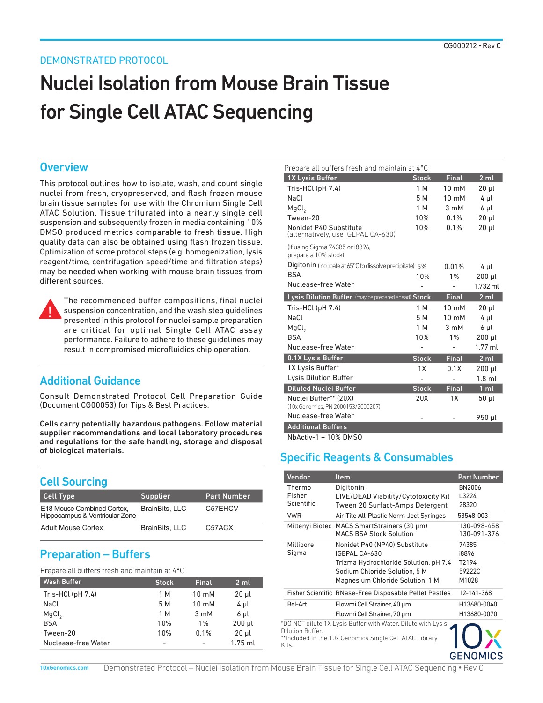### DEMONSTRATED PROTOCOL

# Nuclei Isolation from Mouse Brain Tissue for Single Cell ATAC Sequencing

## **Overview**

!<br>!

This protocol outlines how to isolate, wash, and count single nuclei from fresh, cryopreserved, and flash frozen mouse brain tissue samples for use with the Chromium Single Cell ATAC Solution. Tissue triturated into a nearly single cell suspension and subsequently frozen in media containing 10% DMSO produced metrics comparable to fresh tissue. High quality data can also be obtained using flash frozen tissue. Optimization of some protocol steps (e.g. homogenization, lysis reagent/time, centrifugation speed/time and filtration steps) may be needed when working with mouse brain tissues from different sources.

The recommended buffer compositions, final nuclei suspension concentration, and the wash step guidelines presented in this protocol for nuclei sample preparation are critical for optimal Single Cell ATAC assay performance. Failure to adhere to these guidelines may result in compromised microfluidics chip operation.

# Additional Guidance

Consult Demonstrated Protocol Cell Preparation Guide (Document CG00053) for Tips & Best Practices.

Cells carry potentially hazardous pathogens. Follow material supplier recommendations and local laboratory procedures and regulations for the safe handling, storage and disposal of biological materials.

# Cell Sourcing

| Cell Type                                                    | <b>Supplier</b> | Part Number' |
|--------------------------------------------------------------|-----------------|--------------|
| E18 Mouse Combined Cortex,<br>Hippocampus & Ventricular Zone | BrainBits, LLC  | C57EHCV      |
| <b>Adult Mouse Cortex</b>                                    | BrainBits, LLC  | C57ACX       |

# Preparation – Buffers

| Prepare all buffers fresh and maintain at 4°C |              |                 |                |
|-----------------------------------------------|--------------|-----------------|----------------|
| <b>Wash Buffer</b>                            | <b>Stock</b> | <b>Final</b>    | 2 <sub>m</sub> |
| Tris-HCl (pH 7.4)                             | 1 M          | $10 \text{ mM}$ | $20$ $\mu$     |
| NaCl                                          | 5 M          | $10 \text{ mM}$ | $4 \mu$        |
| MgCl <sub>2</sub>                             | 1 M          | 3 mM            | $6$ µl         |
| <b>BSA</b>                                    | 10%          | $1\%$           | $200$ $\mu$    |
| Tween-20                                      | 10%          | 0.1%            | $20$ $\mu$     |
| Nuclease-free Water                           |              |                 | $1.75$ ml      |

| <b>OxGenomics.com</b> |  |
|-----------------------|--|
|-----------------------|--|

**[10xGenomics.com](http://10xGenomics.com)** Demonstrated Protocol – Nuclei Isolation from Mouse Brain Tissue for Single Cell ATAC Sequencing • Rev C

| Prepare all buffers fresh and maintain at 4°C                |              |                 |                |
|--------------------------------------------------------------|--------------|-----------------|----------------|
| 1X Lysis Buffer                                              | <b>Stock</b> | <b>Final</b>    | 2 <sub>m</sub> |
| Tris-HCl (pH 7.4)                                            | 1 M          | $10 \text{ mM}$ | $20$ $\mu$     |
| <b>NaCl</b>                                                  | 5 M          | $10 \text{ mM}$ | 4 µl           |
| MgCl <sub>2</sub>                                            | 1 M          | $3 \text{ mM}$  | 6 µl           |
| Tween-20                                                     | 10%          | 0.1%            | $20$ $\mu$     |
| Nonidet P40 Substitute<br>(alternatively, use IGEPAL CA-630) | 10%          | 0.1%            | $20$ $\mu$     |
| (If using Sigma 74385 or i8896,<br>prepare a 10% stock)      |              |                 |                |
| Digitonin (incubate at 65°C to dissolve precipitate) 5%      |              | 0.01%           | 4 µl           |
| <b>BSA</b>                                                   | 10%          | $1\%$           | $200$ $\mu$    |
| Nuclease-free Water                                          |              |                 | 1.732 ml       |
| Lysis Dilution Buffer (may be prepared ahead) Stock          |              | <b>Final</b>    | 2 <sub>m</sub> |
| Tris-HCl $(pH 7.4)$                                          | 1 M          | $10 \text{ mM}$ | $20$ $\mu$     |
| <b>NaCl</b>                                                  | 5 M          | $10 \text{ mM}$ | 4 µl           |
| MgCl <sub>2</sub>                                            | 1 M          | $3 \text{ mM}$  | $6$ µl         |
| <b>BSA</b>                                                   | 10%          | 1%              | 200 µl         |
| Nuclease-free Water                                          |              |                 | $1.77$ ml      |
| 0.1X Lysis Buffer                                            | <b>Stock</b> | <b>Final</b>    | 2 <sub>m</sub> |
| 1X Lysis Buffer*                                             | 1X           | 0.1X            | 200 ul         |
| <b>Lysis Dilution Buffer</b>                                 |              |                 | $1.8$ ml       |
| <b>Diluted Nuclei Buffer</b>                                 | <b>Stock</b> | <b>Final</b>    | 1 <sub>m</sub> |
| Nuclei Buffer** (20X)                                        | 20X          | 1 X             | 50 µl          |
| (10x Genomics, PN 2000153/2000207)                           |              |                 |                |
| Nuclease-free Water                                          |              |                 | 950 µl         |
| <b>Additional Buffers</b>                                    |              |                 |                |

NbActiv-1 + 10% DMSO

#### j Specific Reagents & Consumables

| Vendor                         | ltem                                                                                                                                                         | <b>Part Number</b>                         |
|--------------------------------|--------------------------------------------------------------------------------------------------------------------------------------------------------------|--------------------------------------------|
| Thermo<br>Fisher<br>Scientific | Digitonin<br>LIVE/DEAD Viability/Cytotoxicity Kit<br>Tween 20 Surfact-Amps Detergent                                                                         | BN2006<br>L3224<br>28320                   |
| <b>VWR</b>                     | Air-Tite All-Plastic Norm-Ject Syringes                                                                                                                      | 53548-003                                  |
|                                | Miltenyi Biotec MACS SmartStrainers (30 µm)<br><b>MACS BSA Stock Solution</b>                                                                                | 130-098-458<br>130-091-376                 |
| Millipore<br>Sigma             | Nonidet P40 (NP40) Substitute<br>IGEPAL CA-630<br>Trizma Hydrochloride Solution, pH 7.4<br>Sodium Chloride Solution, 5 M<br>Magnesium Chloride Solution, 1 M | 74385<br>i8896<br>T2194<br>59222C<br>M1028 |
|                                | Fisher Scientific RNase-Free Disposable Pellet Pestles                                                                                                       | 12-141-368                                 |
| Bel-Art                        | Flowmi Cell Strainer, 40 µm<br>Flowmi Cell Strainer, 70 µm                                                                                                   | H13680-0040<br>H13680-0070                 |
| Dilution Buffer.<br>Kits.      | *DO NOT dilute 1X Lysis Buffer with Water. Dilute with Lysis<br>**Included in the 10x Genomics Single Cell ATAC Library                                      | GENOMICS                                   |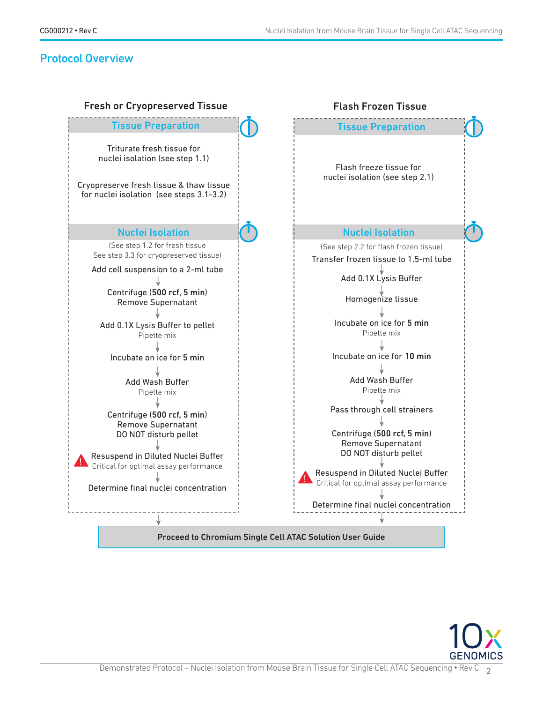# Protocol Overview



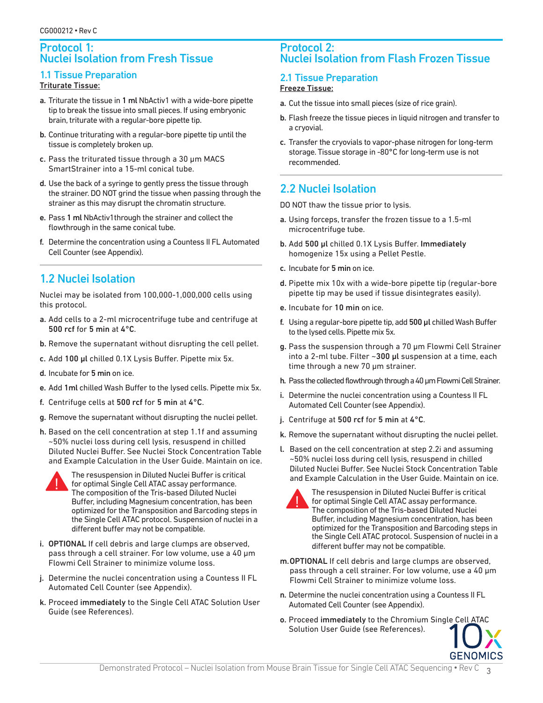## Protocol 1: Nuclei Isolation from Fresh Tissue

# 1.1 Tissue Preparation

#### Triturate Tissue:

- a. Triturate the tissue in 1 ml NbActiv1 with a wide-bore pipette tip to break the tissue into small pieces. If using embryonic brain, triturate with a regular-bore pipette tip.
- b. Continue triturating with a regular-bore pipette tip until the tissue is completely broken up.
- c. Pass the triturated tissue through a 30 µm MACS SmartStrainer into a 15-ml conical tube.
- d. Use the back of a syringe to gently press the tissue through the strainer. DO NOT grind the tissue when passing through the strainer as this may disrupt the chromatin structure.
- e. Pass 1 ml NbActiv1through the strainer and collect the flowthrough in the same conical tube.
- f. Determine the concentration using a Countess II FL Automated Cell Counter (see Appendix).

# 1.2 Nuclei Isolation

Nuclei may be isolated from 100,000-1,000,000 cells using this protocol.

- a. Add cells to a 2-ml microcentrifuge tube and centrifuge at 500 rcf for 5 min at 4°C.
- b. Remove the supernatant without disrupting the cell pellet.
- c. Add 100 µl chilled 0.1X Lysis Buffer. Pipette mix 5x.
- d. Incubate for 5 min on ice.
- e. Add 1ml chilled Wash Buffer to the lysed cells. Pipette mix 5x.
- f. Centrifuge cells at 500 rcf for 5 min at  $4^{\circ}$ C.
- g. Remove the supernatant without disrupting the nuclei pellet.
- h. Based on the cell concentration at step 1.1f and assuming ~50% nuclei loss during cell lysis, resuspend in chilled Diluted Nuclei Buffer. See Nuclei Stock Concentration Table and Example Calculation in the User Guide. Maintain on ice.



The resuspension in Diluted Nuclei Buffer is critical for optimal Single Cell ATAC assay performance. The composition of the Tris-based Diluted Nuclei Buffer, including Magnesium concentration, has been optimized for the Transposition and Barcoding steps in the Single Cell ATAC protocol. Suspension of nuclei in a different buffer may not be compatible.

- i. OPTIONAL If cell debris and large clumps are observed, pass through a cell strainer. For low volume, use a 40 µm Flowmi Cell Strainer to minimize volume loss.
- j. Determine the nuclei concentration using a Countess II FL Automated Cell Counter (see Appendix).
- k. Proceed immediately to the Single Cell ATAC Solution User Guide (see References).

## Protocol 2: Nuclei Isolation from Flash Frozen Tissue

# 2.1 Tissue Preparation

#### Freeze Tissue:

- a. Cut the tissue into small pieces (size of rice grain).
- b. Flash freeze the tissue pieces in liquid nitrogen and transfer to a cryovial.
- c. Transfer the cryovials to vapor-phase nitrogen for long-term storage. Tissue storage in -80°C for long-term use is not recommended.

# 2.2 Nuclei Isolation

DO NOT thaw the tissue prior to lysis.

- a. Using forceps, transfer the frozen tissue to a 1.5-ml microcentrifuge tube.
- b. Add 500 µl chilled 0.1X Lysis Buffer. Immediately homogenize 15x using a Pellet Pestle.
- c. Incubate for 5 min on ice.
- d. Pipette mix 10x with a wide-bore pipette tip (regular-bore pipette tip may be used if tissue disintegrates easily).
- e. Incubate for 10 min on ice.
- f. Using a regular-bore pipette tip, add  $500 \mu l$  chilled Wash Buffer to the lysed cells. Pipette mix 5x.
- g. Pass the suspension through a 70 µm Flowmi Cell Strainer into a 2-ml tube. Filter ~300 µl suspension at a time, each time through a new 70 µm strainer.
- h. Pass the collected flowthrough through a 40 µm Flowmi Cell Strainer.
- i. Determine the nuclei concentration using a Countess II FL Automated Cell Counter(see Appendix).
- j. Centrifuge at 500 rcf for 5 min at 4°C.
- k. Remove the supernatant without disrupting the nuclei pellet.
- l. Based on the cell concentration at step 2.2i and assuming ~50% nuclei loss during cell lysis, resuspend in chilled Diluted Nuclei Buffer. See Nuclei Stock Concentration Table and Example Calculation in the User Guide. Maintain on ice.



The resuspension in Diluted Nuclei Buffer is critical for optimal Single Cell ATAC assay performance. The composition of the Tris-based Diluted Nuclei Buffer, including Magnesium concentration, has been optimized for the Transposition and Barcoding steps in the Single Cell ATAC protocol. Suspension of nuclei in a different buffer may not be compatible.

- m.OPTIONAL If cell debris and large clumps are observed, pass through a cell strainer. For low volume, use a 40 µm Flowmi Cell Strainer to minimize volume loss.
- n. Determine the nuclei concentration using a Countess II FL Automated Cell Counter (see Appendix).
- o. Proceed immediately to the Chromium Single Cell ATAC Solution User Guide (see References).

**GENOMIC**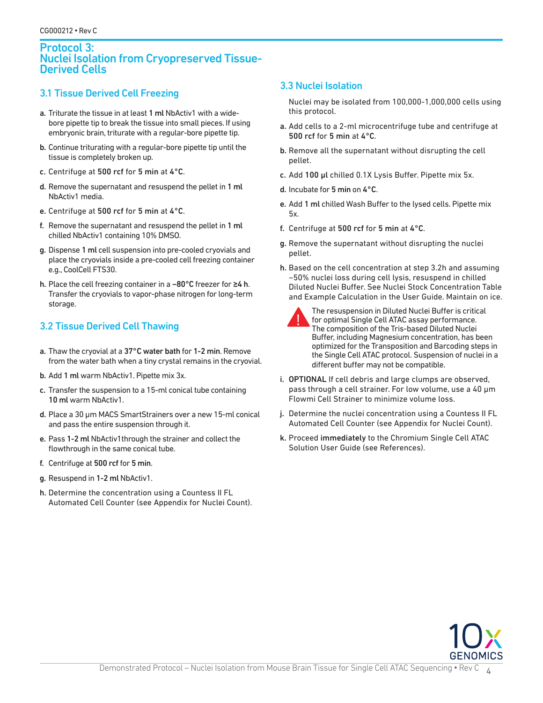#### Protocol 3: Nuclei Isolation from Cryopreserved Tissue-Derived Cells

## 3.1 Tissue Derived Cell Freezing

- a. Triturate the tissue in at least 1 ml NbActiv1 with a widebore pipette tip to break the tissue into small pieces. If using embryonic brain, triturate with a regular-bore pipette tip.
- b. Continue triturating with a regular-bore pipette tip until the tissue is completely broken up.
- c. Centrifuge at 500 rcf for 5 min at 4°C.
- d. Remove the supernatant and resuspend the pellet in 1 ml NbActiv1 media.
- e. Centrifuge at 500 rcf for 5 min at 4°C.
- f. Remove the supernatant and resuspend the pellet in 1 ml chilled NbActiv1 containing 10% DMSO.
- g. Dispense 1 ml cell suspension into pre-cooled cryovials and place the cryovials inside a pre-cooled cell freezing container e.g., CoolCell FTS30.
- h. Place the cell freezing container in a −80°C freezer for ≥4 h. Transfer the cryovials to vapor-phase nitrogen for long-term storage.

## 3.2 Tissue Derived Cell Thawing

- a. Thaw the cryovial at a 37°C water bath for 1-2 min. Remove from the water bath when a tiny crystal remains in the cryovial.
- b. Add 1 ml warm NbActiv1. Pipette mix 3x.
- c. Transfer the suspension to a 15-ml conical tube containing 10 ml warm NbActiv1.
- d. Place a 30 µm MACS SmartStrainers over a new 15-ml conical and pass the entire suspension through it.
- e. Pass 1-2 ml NbActiv1through the strainer and collect the flowthrough in the same conical tube.
- f. Centrifuge at 500 rcf for 5 min.
- g. Resuspend in 1-2 ml NbActiv1.
- h. Determine the concentration using a Countess II FL Automated Cell Counter (see Appendix for Nuclei Count).

## 3.3 Nuclei Isolation

Nuclei may be isolated from 100,000-1,000,000 cells using this protocol.

- a. Add cells to a 2-ml microcentrifuge tube and centrifuge at 500 rcf for 5 min at 4°C.
- b. Remove all the supernatant without disrupting the cell pellet.
- c. Add 100 µl chilled 0.1X Lysis Buffer. Pipette mix 5x.
- d. Incubate for 5 min on 4°C.
- e. Add 1 ml chilled Wash Buffer to the lysed cells. Pipette mix 5x.
- f. Centrifuge at 500 rcf for 5 min at 4°C.
- g. Remove the supernatant without disrupting the nuclei pellet.
- h. Based on the cell concentration at step 3.2h and assuming ~50% nuclei loss during cell lysis, resuspend in chilled Diluted Nuclei Buffer. See Nuclei Stock Concentration Table and Example Calculation in the User Guide. Maintain on ice.



The resuspension in Diluted Nuclei Buffer is critical for optimal Single Cell ATAC assay performance. The composition of the Tris-based Diluted Nuclei Buffer, including Magnesium concentration, has been optimized for the Transposition and Barcoding steps in the Single Cell ATAC protocol. Suspension of nuclei in a different buffer may not be compatible.

- i. OPTIONAL If cell debris and large clumps are observed, pass through a cell strainer. For low volume, use a 40 µm Flowmi Cell Strainer to minimize volume loss.
- j. Determine the nuclei concentration using a Countess II FL Automated Cell Counter (see Appendix for Nuclei Count).
- k. Proceed immediately to the Chromium Single Cell ATAC Solution User Guide (see References).